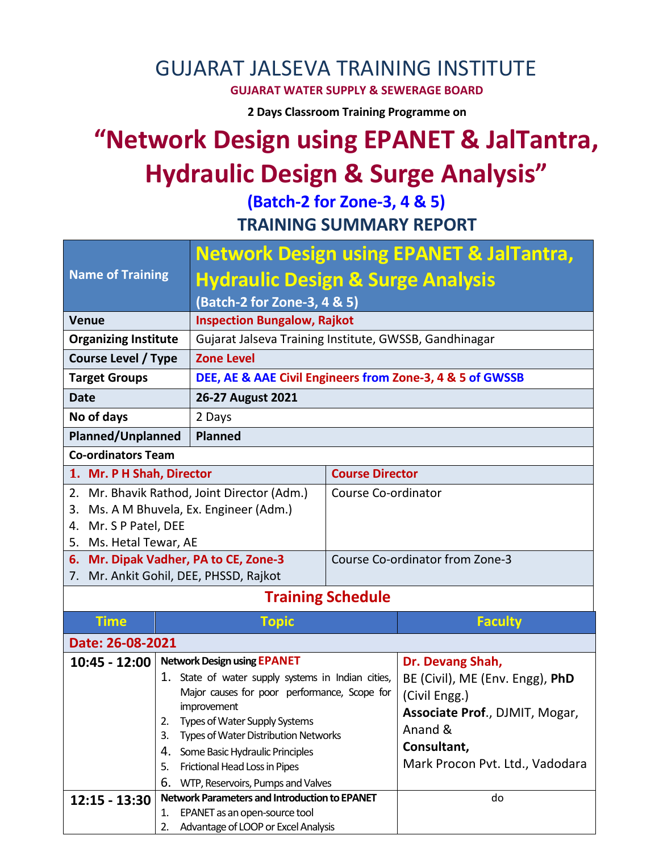## GUJARAT JALSEVA TRAINING INSTITUTE

**GUJARAT WATER SUPPLY & SEWERAGE BOARD**

**2 Days Classroom Training Programme on** 

# **"Network Design using EPANET & JalTantra, Hydraulic Design & Surge Analysis"**

**(Batch-2 for Zone-3, 4 & 5) TRAINING SUMMARY REPORT**

| <b>Name of Training</b>                                                     |                                     | <b>Network Design using EPANET &amp; JalTantra,</b>                          |                                 |                                 |  |  |  |
|-----------------------------------------------------------------------------|-------------------------------------|------------------------------------------------------------------------------|---------------------------------|---------------------------------|--|--|--|
|                                                                             |                                     | <b>Hydraulic Design &amp; Surge Analysis</b>                                 |                                 |                                 |  |  |  |
|                                                                             |                                     | (Batch-2 for Zone-3, 4 & 5)                                                  |                                 |                                 |  |  |  |
| <b>Venue</b>                                                                | <b>Inspection Bungalow, Rajkot</b>  |                                                                              |                                 |                                 |  |  |  |
| <b>Organizing Institute</b>                                                 |                                     | Gujarat Jalseva Training Institute, GWSSB, Gandhinagar                       |                                 |                                 |  |  |  |
| Course Level / Type                                                         |                                     | <b>Zone Level</b>                                                            |                                 |                                 |  |  |  |
| <b>Target Groups</b>                                                        |                                     | DEE, AE & AAE Civil Engineers from Zone-3, 4 & 5 of GWSSB                    |                                 |                                 |  |  |  |
| <b>Date</b>                                                                 |                                     | 26-27 August 2021                                                            |                                 |                                 |  |  |  |
| No of days                                                                  |                                     | 2 Days                                                                       |                                 |                                 |  |  |  |
| <b>Planned/Unplanned</b>                                                    |                                     | <b>Planned</b>                                                               |                                 |                                 |  |  |  |
| <b>Co-ordinators Team</b>                                                   |                                     |                                                                              |                                 |                                 |  |  |  |
|                                                                             |                                     |                                                                              | <b>Course Director</b>          |                                 |  |  |  |
| 1. Mr. P H Shah, Director<br>Mr. Bhavik Rathod, Joint Director (Adm.)<br>2. |                                     |                                                                              | Course Co-ordinator             |                                 |  |  |  |
| 3.                                                                          |                                     | Ms. A M Bhuvela, Ex. Engineer (Adm.)                                         |                                 |                                 |  |  |  |
| Mr. S P Patel, DEE<br>4.                                                    |                                     |                                                                              |                                 |                                 |  |  |  |
| Ms. Hetal Tewar, AE<br>5.                                                   |                                     |                                                                              |                                 |                                 |  |  |  |
| 6. Mr. Dipak Vadher, PA to CE, Zone-3                                       |                                     |                                                                              | Course Co-ordinator from Zone-3 |                                 |  |  |  |
| 7.                                                                          |                                     | Mr. Ankit Gohil, DEE, PHSSD, Rajkot                                          |                                 |                                 |  |  |  |
|                                                                             |                                     |                                                                              | <b>Training Schedule</b>        |                                 |  |  |  |
| <b>Time</b>                                                                 |                                     | Topic                                                                        |                                 | <b>Faculty</b>                  |  |  |  |
| Date: 26-08-2021                                                            |                                     |                                                                              |                                 |                                 |  |  |  |
| $10:45 - 12:00$                                                             |                                     | <b>Network Design using EPANET</b>                                           |                                 | Dr. Devang Shah,                |  |  |  |
|                                                                             |                                     | 1. State of water supply systems in Indian cities,                           |                                 | BE (Civil), ME (Env. Engg), PhD |  |  |  |
|                                                                             |                                     | Major causes for poor performance, Scope for                                 |                                 | (Civil Engg.)                   |  |  |  |
|                                                                             | 2.                                  | improvement                                                                  | Associate Prof., DJMIT, Mogar,  |                                 |  |  |  |
|                                                                             | 3.                                  | Types of Water Supply Systems<br><b>Types of Water Distribution Networks</b> |                                 | Anand &                         |  |  |  |
|                                                                             | 4.                                  | Some Basic Hydraulic Principles                                              |                                 | Consultant,                     |  |  |  |
|                                                                             | 5.                                  | Frictional Head Loss in Pipes                                                |                                 | Mark Procon Pvt. Ltd., Vadodara |  |  |  |
|                                                                             | 6.                                  | WTP, Reservoirs, Pumps and Valves                                            |                                 |                                 |  |  |  |
| 12:15 - 13:30                                                               |                                     | <b>Network Parameters and Introduction to EPANET</b>                         |                                 | do                              |  |  |  |
|                                                                             | EPANET as an open-source tool<br>1. |                                                                              |                                 |                                 |  |  |  |
|                                                                             | 2.                                  | Advantage of LOOP or Excel Analysis                                          |                                 |                                 |  |  |  |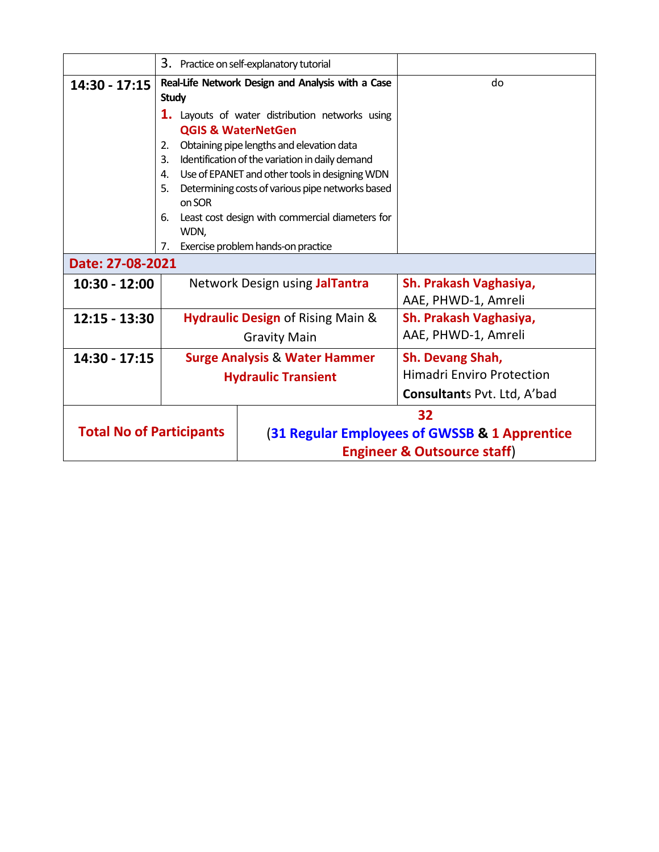|                                 |                            | 3. Practice on self-explanatory tutorial          |                                  |  |  |  |
|---------------------------------|----------------------------|---------------------------------------------------|----------------------------------|--|--|--|
|                                 |                            |                                                   |                                  |  |  |  |
| $14:30 - 17:15$                 |                            | Real-Life Network Design and Analysis with a Case | do                               |  |  |  |
|                                 | <b>Study</b>               |                                                   |                                  |  |  |  |
|                                 |                            | 1. Layouts of water distribution networks using   |                                  |  |  |  |
|                                 |                            | <b>QGIS &amp; WaterNetGen</b>                     |                                  |  |  |  |
|                                 | 2.                         | Obtaining pipe lengths and elevation data         |                                  |  |  |  |
|                                 | 3.                         | Identification of the variation in daily demand   |                                  |  |  |  |
|                                 | 4.                         | Use of EPANET and other tools in designing WDN    |                                  |  |  |  |
|                                 | 5.                         | Determining costs of various pipe networks based  |                                  |  |  |  |
|                                 | on SOR                     |                                                   |                                  |  |  |  |
|                                 | 6.                         | Least cost design with commercial diameters for   |                                  |  |  |  |
|                                 | WDN,                       |                                                   |                                  |  |  |  |
|                                 | 7.                         | Exercise problem hands-on practice                |                                  |  |  |  |
|                                 | Date: 27-08-2021           |                                                   |                                  |  |  |  |
| 10:30 - 12:00                   |                            | Network Design using JalTantra                    | Sh. Prakash Vaghasiya,           |  |  |  |
|                                 |                            |                                                   | AAE, PHWD-1, Amreli              |  |  |  |
| 12:15 - 13:30                   |                            | Hydraulic Design of Rising Main &                 | Sh. Prakash Vaghasiya,           |  |  |  |
|                                 |                            | <b>Gravity Main</b>                               | AAE, PHWD-1, Amreli              |  |  |  |
| 14:30 - 17:15                   |                            | <b>Surge Analysis &amp; Water Hammer</b>          | Sh. Devang Shah,                 |  |  |  |
|                                 | <b>Hydraulic Transient</b> |                                                   | <b>Himadri Enviro Protection</b> |  |  |  |
|                                 |                            | <b>Consultants Pvt. Ltd, A'bad</b>                |                                  |  |  |  |
| 32                              |                            |                                                   |                                  |  |  |  |
| <b>Total No of Participants</b> |                            | (31 Regular Employees of GWSSB & 1 Apprentice     |                                  |  |  |  |
|                                 |                            | <b>Engineer &amp; Outsource staff)</b>            |                                  |  |  |  |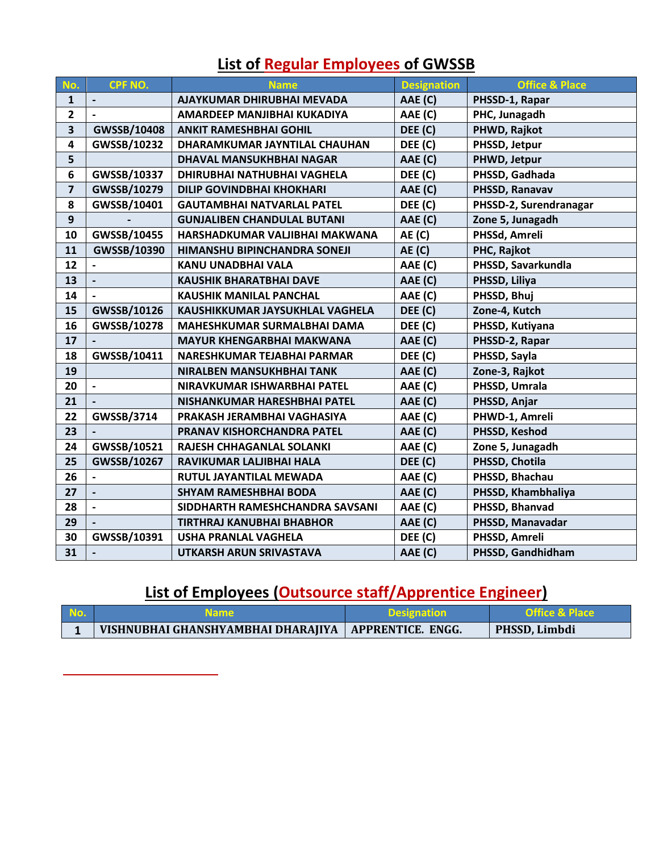| No.                     | CPF NO.                  | <b>Name</b>                        | <b>Designation</b> | <b>Office &amp; Place</b> |
|-------------------------|--------------------------|------------------------------------|--------------------|---------------------------|
| 1                       |                          | AJAYKUMAR DHIRUBHAI MEVADA         | AAE (C)            | PHSSD-1, Rapar            |
| $\overline{2}$          |                          | AMARDEEP MANJIBHAI KUKADIYA        | AAE (C)            | PHC, Junagadh             |
| 3                       | GWSSB/10408              | <b>ANKIT RAMESHBHAI GOHIL</b>      | DEE (C)            | PHWD, Rajkot              |
| 4                       | GWSSB/10232              | DHARAMKUMAR JAYNTILAL CHAUHAN      | DEE (C)            | PHSSD, Jetpur             |
| 5                       |                          | DHAVAL MANSUKHBHAI NAGAR           | AAE (C)            | PHWD, Jetpur              |
| 6                       | GWSSB/10337              | DHIRUBHAI NATHUBHAI VAGHELA        | DEE (C)            | PHSSD, Gadhada            |
| $\overline{\mathbf{z}}$ | GWSSB/10279              | <b>DILIP GOVINDBHAI KHOKHARI</b>   | AAE (C)            | PHSSD, Ranavav            |
| 8                       | GWSSB/10401              | <b>GAUTAMBHAI NATVARLAL PATEL</b>  | DEE (C)            | PHSSD-2, Surendranagar    |
| 9                       |                          | <b>GUNJALIBEN CHANDULAL BUTANI</b> | AAE (C)            | Zone 5, Junagadh          |
| 10                      | GWSSB/10455              | HARSHADKUMAR VALJIBHAI MAKWANA     | AE(C)              | PHSSd, Amreli             |
| 11                      | GWSSB/10390              | HIMANSHU BIPINCHANDRA SONEJI       | <b>AE (C)</b>      | PHC, Rajkot               |
| 12                      |                          | KANU UNADBHAI VALA                 | AAE (C)            | PHSSD, Savarkundla        |
| 13                      |                          | <b>KAUSHIK BHARATBHAI DAVE</b>     | AAE (C)            | PHSSD, Liliya             |
| 14                      |                          | KAUSHIK MANILAL PANCHAL            | AAE (C)            | PHSSD, Bhuj               |
| 15                      | GWSSB/10126              | KAUSHIKKUMAR JAYSUKHLAL VAGHELA    | DEE (C)            | Zone-4, Kutch             |
| 16                      | GWSSB/10278              | <b>MAHESHKUMAR SURMALBHAI DAMA</b> | DEE (C)            | PHSSD, Kutiyana           |
| 17                      |                          | <b>MAYUR KHENGARBHAI MAKWANA</b>   | AAE (C)            | PHSSD-2, Rapar            |
| 18                      | GWSSB/10411              | NARESHKUMAR TEJABHAI PARMAR        | DEE (C)            | PHSSD, Sayla              |
| 19                      |                          | NIRALBEN MANSUKHBHAI TANK          | AAE (C)            | Zone-3, Rajkot            |
| 20                      | $\overline{\phantom{a}}$ | NIRAVKUMAR ISHWARBHAI PATEL        | AAE (C)            | PHSSD, Umrala             |
| 21                      |                          | NISHANKUMAR HARESHBHAI PATEL       | AAE (C)            | PHSSD, Anjar              |
| 22                      | GWSSB/3714               | PRAKASH JERAMBHAI VAGHASIYA        | AAE (C)            | PHWD-1, Amreli            |
| 23                      |                          | PRANAV KISHORCHANDRA PATEL         | AAE (C)            | PHSSD, Keshod             |
| 24                      | GWSSB/10521              | RAJESH CHHAGANLAL SOLANKI          | AAE (C)            | Zone 5, Junagadh          |
| 25                      | GWSSB/10267              | RAVIKUMAR LALJIBHAI HALA           | DEE (C)            | PHSSD, Chotila            |
| 26                      |                          | RUTUL JAYANTILAL MEWADA            | AAE (C)            | PHSSD, Bhachau            |
| 27                      |                          | <b>SHYAM RAMESHBHAI BODA</b>       | AAE (C)            | PHSSD, Khambhaliya        |
| 28                      | $\overline{\phantom{a}}$ | SIDDHARTH RAMESHCHANDRA SAVSANI    | AAE (C)            | PHSSD, Bhanvad            |
| 29                      |                          | TIRTHRAJ KANUBHAI BHABHOR          | AAE (C)            | PHSSD, Manavadar          |
| 30                      | GWSSB/10391              | <b>USHA PRANLAL VAGHELA</b>        | DEE (C)            | PHSSD, Amreli             |
| 31                      |                          | UTKARSH ARUN SRIVASTAVA            | AAE (C)            | PHSSD, Gandhidham         |

## **List of Regular Employees of GWSSB**

## **List of Employees (Outsource staff/Apprentice Engineer)**

| No. | <b>Name</b>                                            | <b>Designation</b> | <b>Office &amp; Place</b> |
|-----|--------------------------------------------------------|--------------------|---------------------------|
|     | VISHNUBHAI GHANSHYAMBHAI DHARAJIYA   APPRENTICE. ENGG. |                    | PHSSD, Limbdi             |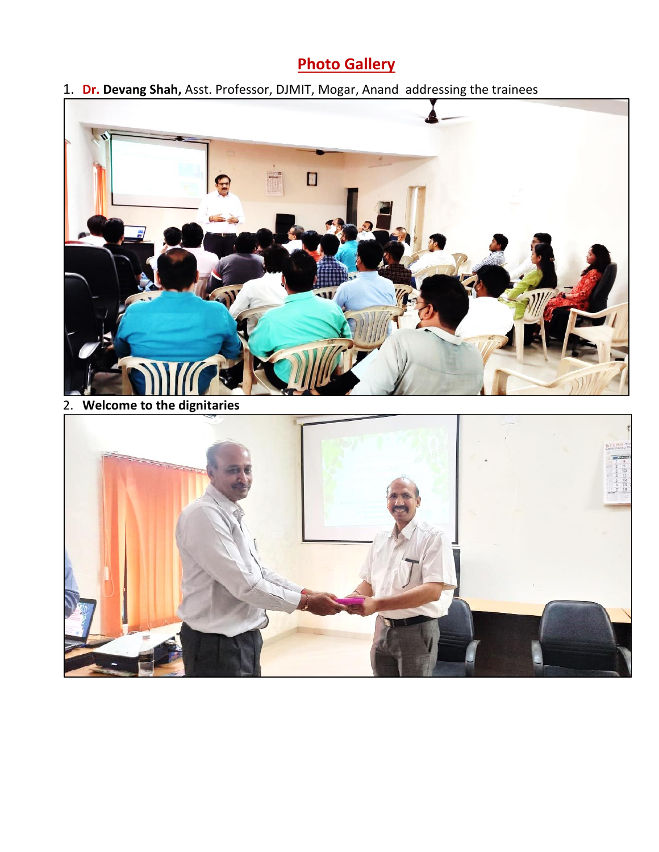## **Photo Gallery**

1. **Dr. Devang Shah,** Asst. Professor, DJMIT, Mogar, Anand addressing the trainees

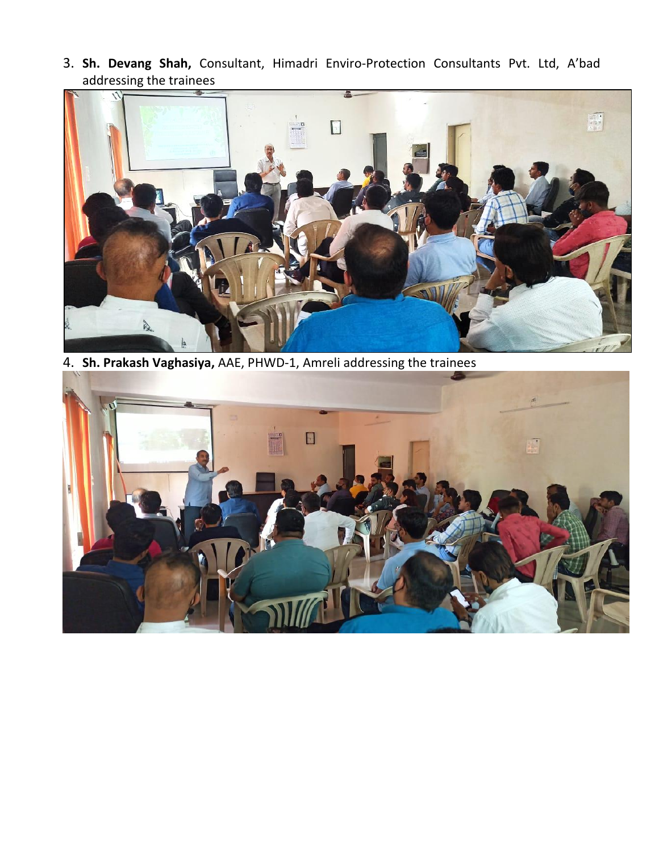3. **Sh. Devang Shah,** Consultant, Himadri Enviro-Protection Consultants Pvt. Ltd, A'bad addressing the trainees



4. **Sh. Prakash Vaghasiya,** AAE, PHWD-1, Amreli addressing the trainees